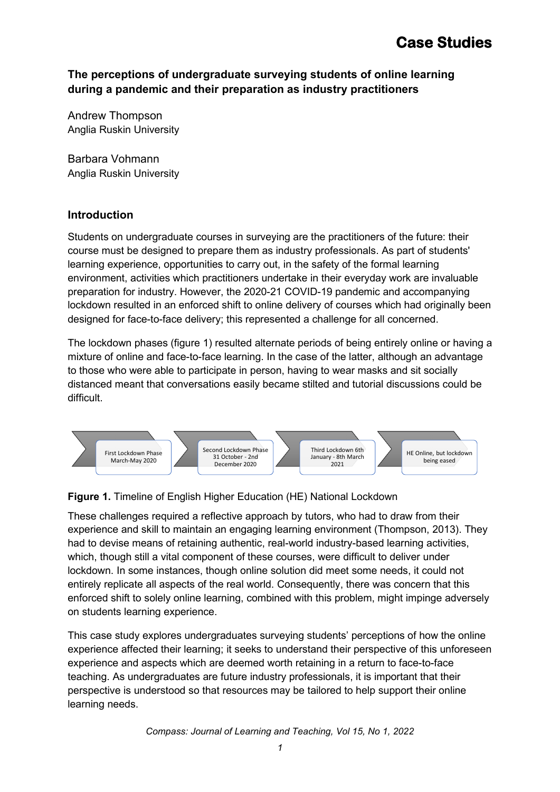# **The perceptions of undergraduate surveying students of online learning during a pandemic and their preparation as industry practitioners**

Andrew Thompson Anglia Ruskin University

Barbara Vohmann Anglia Ruskin University

### **Introduction**

Students on undergraduate courses in surveying are the practitioners of the future: their course must be designed to prepare them as industry professionals. As part of students' learning experience, opportunities to carry out, in the safety of the formal learning environment, activities which practitioners undertake in their everyday work are invaluable preparation for industry. However, the 2020-21 COVID-19 pandemic and accompanying lockdown resulted in an enforced shift to online delivery of courses which had originally been designed for face-to-face delivery; this represented a challenge for all concerned.

The lockdown phases (figure 1) resulted alternate periods of being entirely online or having a mixture of online and face-to-face learning. In the case of the latter, although an advantage to those who were able to participate in person, having to wear masks and sit socially distanced meant that conversations easily became stilted and tutorial discussions could be difficult.



# **Figure 1.** Timeline of English Higher Education (HE) National Lockdown

These challenges required a reflective approach by tutors, who had to draw from their experience and skill to maintain an engaging learning environment (Thompson, 2013). They had to devise means of retaining authentic, real-world industry-based learning activities, which, though still a vital component of these courses, were difficult to deliver under lockdown. In some instances, though online solution did meet some needs, it could not entirely replicate all aspects of the real world. Consequently, there was concern that this enforced shift to solely online learning, combined with this problem, might impinge adversely on students learning experience.

This case study explores undergraduates surveying students' perceptions of how the online experience affected their learning; it seeks to understand their perspective of this unforeseen experience and aspects which are deemed worth retaining in a return to face-to-face teaching. As undergraduates are future industry professionals, it is important that their perspective is understood so that resources may be tailored to help support their online learning needs.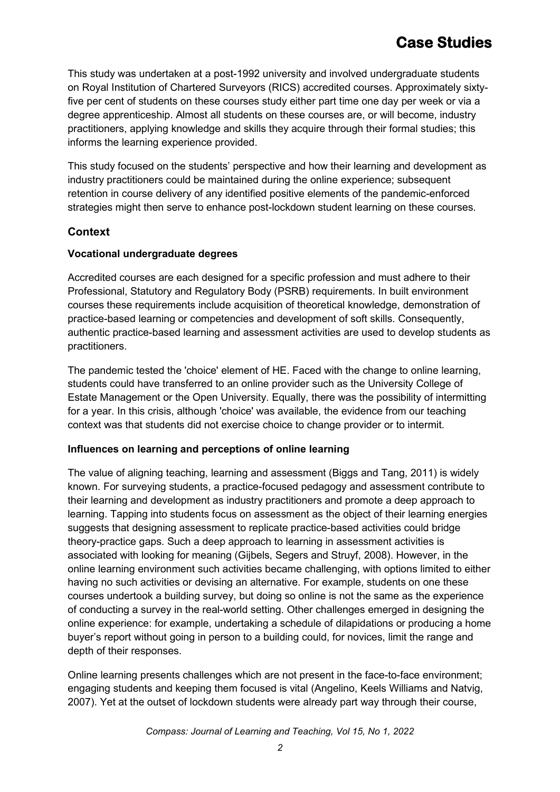This study was undertaken at a post-1992 university and involved undergraduate students on Royal Institution of Chartered Surveyors (RICS) accredited courses. Approximately sixtyfive per cent of students on these courses study either part time one day per week or via a degree apprenticeship. Almost all students on these courses are, or will become, industry practitioners, applying knowledge and skills they acquire through their formal studies; this informs the learning experience provided.

This study focused on the students' perspective and how their learning and development as industry practitioners could be maintained during the online experience; subsequent retention in course delivery of any identified positive elements of the pandemic-enforced strategies might then serve to enhance post-lockdown student learning on these courses.

# **Context**

#### **Vocational undergraduate degrees**

Accredited courses are each designed for a specific profession and must adhere to their Professional, Statutory and Regulatory Body (PSRB) requirements. In built environment courses these requirements include acquisition of theoretical knowledge, demonstration of practice-based learning or competencies and development of soft skills. Consequently, authentic practice-based learning and assessment activities are used to develop students as practitioners.

The pandemic tested the 'choice' element of HE. Faced with the change to online learning, students could have transferred to an online provider such as the University College of Estate Management or the Open University. Equally, there was the possibility of intermitting for a year. In this crisis, although 'choice' was available, the evidence from our teaching context was that students did not exercise choice to change provider or to intermit.

#### **Influences on learning and perceptions of online learning**

The value of aligning teaching, learning and assessment (Biggs and Tang, 2011) is widely known. For surveying students, a practice-focused pedagogy and assessment contribute to their learning and development as industry practitioners and promote a deep approach to learning. Tapping into students focus on assessment as the object of their learning energies suggests that designing assessment to replicate practice-based activities could bridge theory-practice gaps. Such a deep approach to learning in assessment activities is associated with looking for meaning (Gijbels, Segers and Struyf, 2008). However, in the online learning environment such activities became challenging, with options limited to either having no such activities or devising an alternative. For example, students on one these courses undertook a building survey, but doing so online is not the same as the experience of conducting a survey in the real-world setting. Other challenges emerged in designing the online experience: for example, undertaking a schedule of dilapidations or producing a home buyer's report without going in person to a building could, for novices, limit the range and depth of their responses.

Online learning presents challenges which are not present in the face-to-face environment; engaging students and keeping them focused is vital (Angelino, Keels Williams and Natvig, 2007). Yet at the outset of lockdown students were already part way through their course,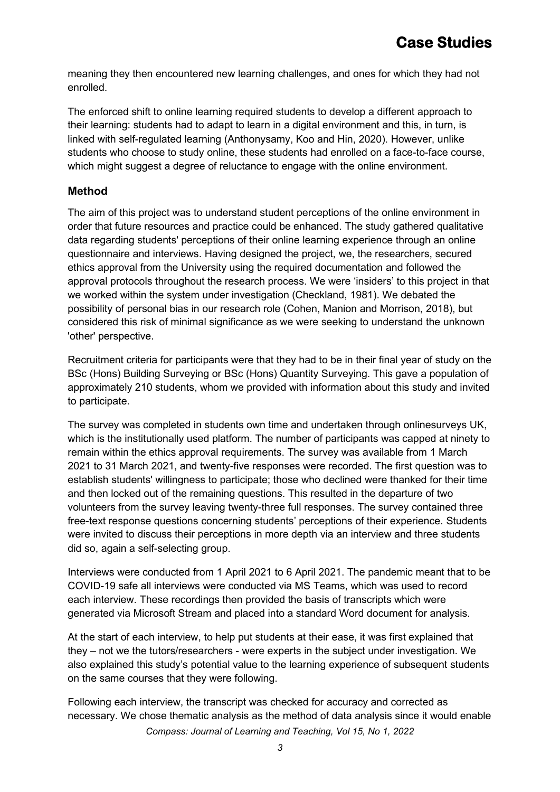meaning they then encountered new learning challenges, and ones for which they had not enrolled.

The enforced shift to online learning required students to develop a different approach to their learning: students had to adapt to learn in a digital environment and this, in turn, is linked with self-regulated learning (Anthonysamy, Koo and Hin, 2020). However, unlike students who choose to study online, these students had enrolled on a face-to-face course, which might suggest a degree of reluctance to engage with the online environment.

### **Method**

The aim of this project was to understand student perceptions of the online environment in order that future resources and practice could be enhanced. The study gathered qualitative data regarding students' perceptions of their online learning experience through an online questionnaire and interviews. Having designed the project, we, the researchers, secured ethics approval from the University using the required documentation and followed the approval protocols throughout the research process. We were 'insiders' to this project in that we worked within the system under investigation (Checkland, 1981). We debated the possibility of personal bias in our research role (Cohen, Manion and Morrison, 2018), but considered this risk of minimal significance as we were seeking to understand the unknown 'other' perspective.

Recruitment criteria for participants were that they had to be in their final year of study on the BSc (Hons) Building Surveying or BSc (Hons) Quantity Surveying. This gave a population of approximately 210 students, whom we provided with information about this study and invited to participate.

The survey was completed in students own time and undertaken through onlinesurveys UK, which is the institutionally used platform. The number of participants was capped at ninety to remain within the ethics approval requirements. The survey was available from 1 March 2021 to 31 March 2021, and twenty-five responses were recorded. The first question was to establish students' willingness to participate; those who declined were thanked for their time and then locked out of the remaining questions. This resulted in the departure of two volunteers from the survey leaving twenty-three full responses. The survey contained three free-text response questions concerning students' perceptions of their experience. Students were invited to discuss their perceptions in more depth via an interview and three students did so, again a self-selecting group.

Interviews were conducted from 1 April 2021 to 6 April 2021. The pandemic meant that to be COVID-19 safe all interviews were conducted via MS Teams, which was used to record each interview. These recordings then provided the basis of transcripts which were generated via Microsoft Stream and placed into a standard Word document for analysis.

At the start of each interview, to help put students at their ease, it was first explained that they – not we the tutors/researchers - were experts in the subject under investigation. We also explained this study's potential value to the learning experience of subsequent students on the same courses that they were following.

Following each interview, the transcript was checked for accuracy and corrected as necessary. We chose thematic analysis as the method of data analysis since it would enable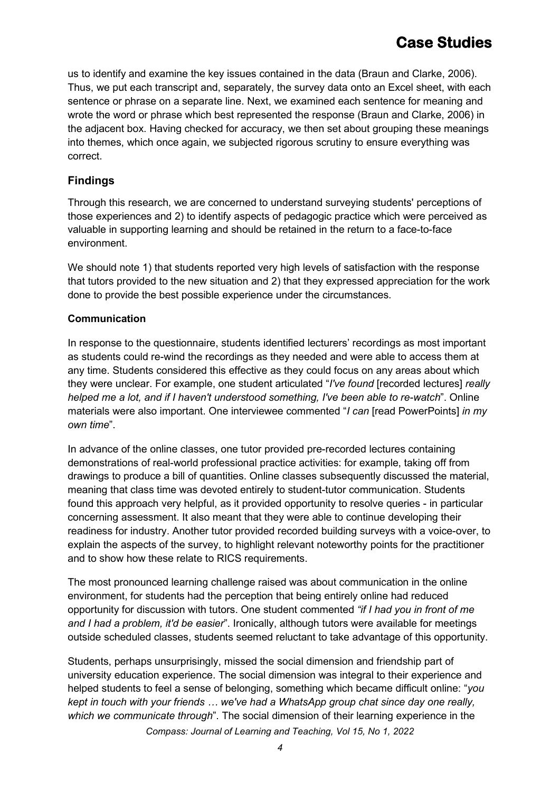us to identify and examine the key issues contained in the data (Braun and Clarke, 2006). Thus, we put each transcript and, separately, the survey data onto an Excel sheet, with each sentence or phrase on a separate line. Next, we examined each sentence for meaning and wrote the word or phrase which best represented the response (Braun and Clarke, 2006) in the adjacent box. Having checked for accuracy, we then set about grouping these meanings into themes, which once again, we subjected rigorous scrutiny to ensure everything was correct.

### **Findings**

Through this research, we are concerned to understand surveying students' perceptions of those experiences and 2) to identify aspects of pedagogic practice which were perceived as valuable in supporting learning and should be retained in the return to a face-to-face environment.

We should note 1) that students reported very high levels of satisfaction with the response that tutors provided to the new situation and 2) that they expressed appreciation for the work done to provide the best possible experience under the circumstances.

#### **Communication**

In response to the questionnaire, students identified lecturers' recordings as most important as students could re-wind the recordings as they needed and were able to access them at any time. Students considered this effective as they could focus on any areas about which they were unclear. For example, one student articulated "*I've found* [recorded lectures] *really helped me a lot, and if I haven't understood something, I've been able to re-watch*". Online materials were also important. One interviewee commented "*I can* [read PowerPoints] *in my own time*".

In advance of the online classes, one tutor provided pre-recorded lectures containing demonstrations of real-world professional practice activities: for example, taking off from drawings to produce a bill of quantities. Online classes subsequently discussed the material, meaning that class time was devoted entirely to student-tutor communication. Students found this approach very helpful, as it provided opportunity to resolve queries - in particular concerning assessment. It also meant that they were able to continue developing their readiness for industry. Another tutor provided recorded building surveys with a voice-over, to explain the aspects of the survey, to highlight relevant noteworthy points for the practitioner and to show how these relate to RICS requirements.

The most pronounced learning challenge raised was about communication in the online environment, for students had the perception that being entirely online had reduced opportunity for discussion with tutors. One student commented *"if I had you in front of me and I had a problem, it'd be easier*". Ironically, although tutors were available for meetings outside scheduled classes, students seemed reluctant to take advantage of this opportunity.

Students, perhaps unsurprisingly, missed the social dimension and friendship part of university education experience. The social dimension was integral to their experience and helped students to feel a sense of belonging, something which became difficult online: "*you kept in touch with your friends … we've had a WhatsApp group chat since day one really, which we communicate through*". The social dimension of their learning experience in the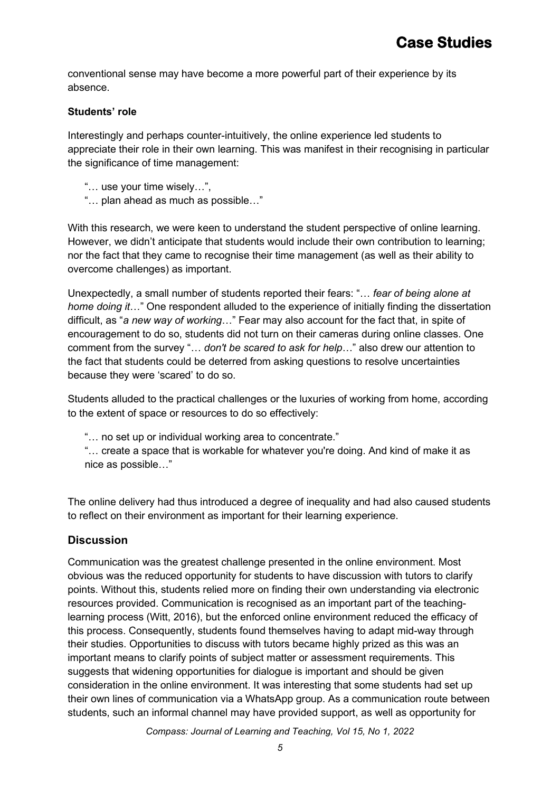conventional sense may have become a more powerful part of their experience by its absence.

#### **Students' role**

Interestingly and perhaps counter-intuitively, the online experience led students to appreciate their role in their own learning. This was manifest in their recognising in particular the significance of time management:

- "… use your time wisely…",
- "… plan ahead as much as possible…"

With this research, we were keen to understand the student perspective of online learning. However, we didn't anticipate that students would include their own contribution to learning; nor the fact that they came to recognise their time management (as well as their ability to overcome challenges) as important.

Unexpectedly, a small number of students reported their fears: "… *fear of being alone at home doing it*…" One respondent alluded to the experience of initially finding the dissertation difficult, as "*a new way of working*…" Fear may also account for the fact that, in spite of encouragement to do so, students did not turn on their cameras during online classes. One comment from the survey "… *don't be scared to ask for help*…" also drew our attention to the fact that students could be deterred from asking questions to resolve uncertainties because they were 'scared' to do so.

Students alluded to the practical challenges or the luxuries of working from home, according to the extent of space or resources to do so effectively:

"… no set up or individual working area to concentrate."

"… create a space that is workable for whatever you're doing. And kind of make it as nice as possible…"

The online delivery had thus introduced a degree of inequality and had also caused students to reflect on their environment as important for their learning experience.

#### **Discussion**

Communication was the greatest challenge presented in the online environment. Most obvious was the reduced opportunity for students to have discussion with tutors to clarify points. Without this, students relied more on finding their own understanding via electronic resources provided. Communication is recognised as an important part of the teachinglearning process (Witt, 2016), but the enforced online environment reduced the efficacy of this process. Consequently, students found themselves having to adapt mid-way through their studies. Opportunities to discuss with tutors became highly prized as this was an important means to clarify points of subject matter or assessment requirements. This suggests that widening opportunities for dialogue is important and should be given consideration in the online environment. It was interesting that some students had set up their own lines of communication via a WhatsApp group. As a communication route between students, such an informal channel may have provided support, as well as opportunity for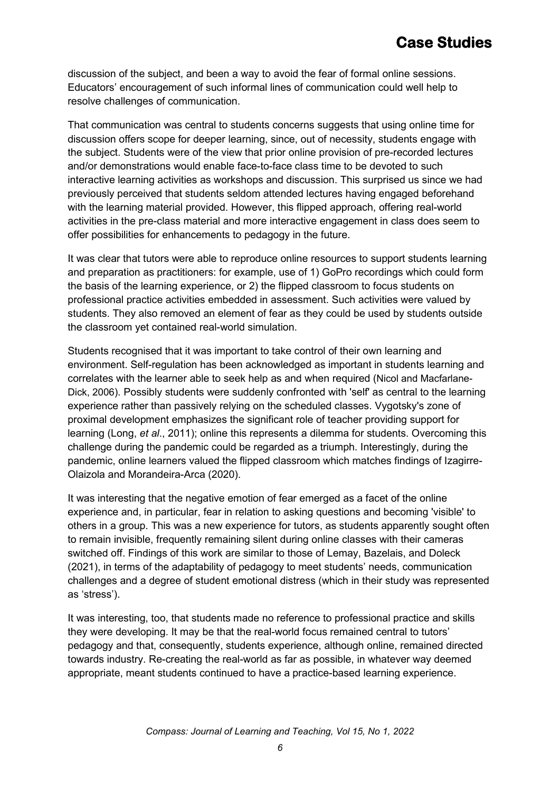discussion of the subject, and been a way to avoid the fear of formal online sessions. Educators' encouragement of such informal lines of communication could well help to resolve challenges of communication.

That communication was central to students concerns suggests that using online time for discussion offers scope for deeper learning, since, out of necessity, students engage with the subject. Students were of the view that prior online provision of pre-recorded lectures and/or demonstrations would enable face-to-face class time to be devoted to such interactive learning activities as workshops and discussion. This surprised us since we had previously perceived that students seldom attended lectures having engaged beforehand with the learning material provided. However, this flipped approach, offering real-world activities in the pre-class material and more interactive engagement in class does seem to offer possibilities for enhancements to pedagogy in the future.

It was clear that tutors were able to reproduce online resources to support students learning and preparation as practitioners: for example, use of 1) GoPro recordings which could form the basis of the learning experience, or 2) the flipped classroom to focus students on professional practice activities embedded in assessment. Such activities were valued by students. They also removed an element of fear as they could be used by students outside the classroom yet contained real-world simulation.

Students recognised that it was important to take control of their own learning and environment. Self-regulation has been acknowledged as important in students learning and correlates with the learner able to seek help as and when required (Nicol and Macfarlane-Dick, 2006). Possibly students were suddenly confronted with 'self' as central to the learning experience rather than passively relying on the scheduled classes. Vygotsky's zone of proximal development emphasizes the significant role of teacher providing support for learning (Long, *et al*., 2011); online this represents a dilemma for students. Overcoming this challenge during the pandemic could be regarded as a triumph. Interestingly, during the pandemic, online learners valued the flipped classroom which matches findings of Izagirre-Olaizola and Morandeira-Arca (2020).

It was interesting that the negative emotion of fear emerged as a facet of the online experience and, in particular, fear in relation to asking questions and becoming 'visible' to others in a group. This was a new experience for tutors, as students apparently sought often to remain invisible, frequently remaining silent during online classes with their cameras switched off. Findings of this work are similar to those of Lemay, Bazelais, and Doleck (2021), in terms of the adaptability of pedagogy to meet students' needs, communication challenges and a degree of student emotional distress (which in their study was represented as 'stress').

It was interesting, too, that students made no reference to professional practice and skills they were developing. It may be that the real-world focus remained central to tutors' pedagogy and that, consequently, students experience, although online, remained directed towards industry. Re-creating the real-world as far as possible, in whatever way deemed appropriate, meant students continued to have a practice-based learning experience.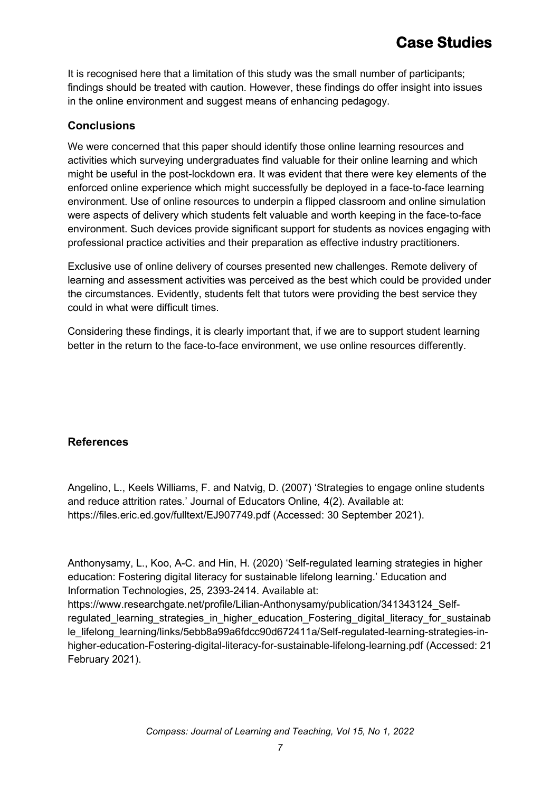It is recognised here that a limitation of this study was the small number of participants; findings should be treated with caution. However, these findings do offer insight into issues in the online environment and suggest means of enhancing pedagogy.

# **Conclusions**

We were concerned that this paper should identify those online learning resources and activities which surveying undergraduates find valuable for their online learning and which might be useful in the post-lockdown era. It was evident that there were key elements of the enforced online experience which might successfully be deployed in a face-to-face learning environment. Use of online resources to underpin a flipped classroom and online simulation were aspects of delivery which students felt valuable and worth keeping in the face-to-face environment. Such devices provide significant support for students as novices engaging with professional practice activities and their preparation as effective industry practitioners.

Exclusive use of online delivery of courses presented new challenges. Remote delivery of learning and assessment activities was perceived as the best which could be provided under the circumstances. Evidently, students felt that tutors were providing the best service they could in what were difficult times.

Considering these findings, it is clearly important that, if we are to support student learning better in the return to the face-to-face environment, we use online resources differently.

# **References**

Angelino, L., Keels Williams, F. and Natvig, D. (2007) 'Strategies to engage online students and reduce attrition rates.' Journal of Educators Online*,* 4(2). Available at: https://files.eric.ed.gov/fulltext/EJ907749.pdf (Accessed: 30 September 2021).

Anthonysamy, L., Koo, A-C. and Hin, H. (2020) 'Self-regulated learning strategies in higher education: Fostering digital literacy for sustainable lifelong learning.' Education and Information Technologies, 25, 2393-2414. Available at: https://www.researchgate.net/profile/Lilian-Anthonysamy/publication/341343124 Selfregulated learning strategies in higher education Fostering digital literacy for sustainab le lifelong learning/links/5ebb8a99a6fdcc90d672411a/Self-regulated-learning-strategies-inhigher-education-Fostering-digital-literacy-for-sustainable-lifelong-learning.pdf (Accessed: 21 February 2021).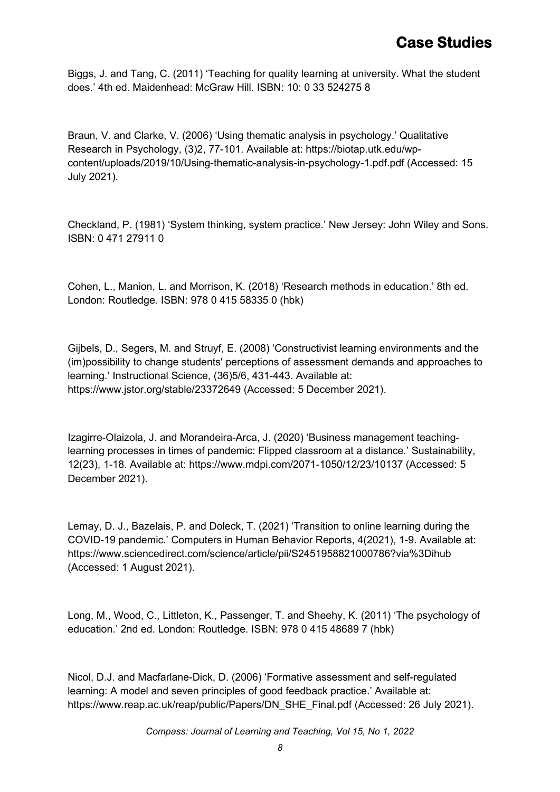Biggs, J. and Tang, C. (2011) 'Teaching for quality learning at university. What the student does.' 4th ed. Maidenhead: McGraw Hill. ISBN: 10: 0 33 524275 8

Braun, V. and Clarke, V. (2006) 'Using thematic analysis in psychology.' Qualitative Research in Psychology, (3)2, 77-101. Available at: https://biotap.utk.edu/wpcontent/uploads/2019/10/Using-thematic-analysis-in-psychology-1.pdf.pdf (Accessed: 15 July 2021).

Checkland, P. (1981) 'System thinking, system practice.' New Jersey: John Wiley and Sons. ISBN: 0 471 27911 0

Cohen, L., Manion, L. and Morrison, K. (2018) 'Research methods in education.' 8th ed. London: Routledge. ISBN: 978 0 415 58335 0 (hbk)

Gijbels, D., Segers, M. and Struyf, E. (2008) 'Constructivist learning environments and the (im)possibility to change students' perceptions of assessment demands and approaches to learning.' Instructional Science, (36)5/6, 431-443. Available at: https://www.jstor.org/stable/23372649 (Accessed: 5 December 2021).

Izagirre-Olaizola, J. and Morandeira-Arca, J. (2020) 'Business management teachinglearning processes in times of pandemic: Flipped classroom at a distance.' Sustainability, 12(23), 1-18. Available at: https://www.mdpi.com/2071-1050/12/23/10137 (Accessed: 5 December 2021).

Lemay, D. J., Bazelais, P. and Doleck, T. (2021) 'Transition to online learning during the COVID-19 pandemic.' Computers in Human Behavior Reports, 4(2021), 1-9. Available at: https://www.sciencedirect.com/science/article/pii/S2451958821000786?via%3Dihub (Accessed: 1 August 2021).

Long, M., Wood, C., Littleton, K., Passenger, T. and Sheehy, K. (2011) 'The psychology of education.' 2nd ed. London: Routledge. ISBN: 978 0 415 48689 7 (hbk)

Nicol, D.J. and Macfarlane-Dick, D. (2006) 'Formative assessment and self-regulated learning: A model and seven principles of good feedback practice.' Available at: https://www.reap.ac.uk/reap/public/Papers/DN\_SHE\_Final.pdf (Accessed: 26 July 2021).